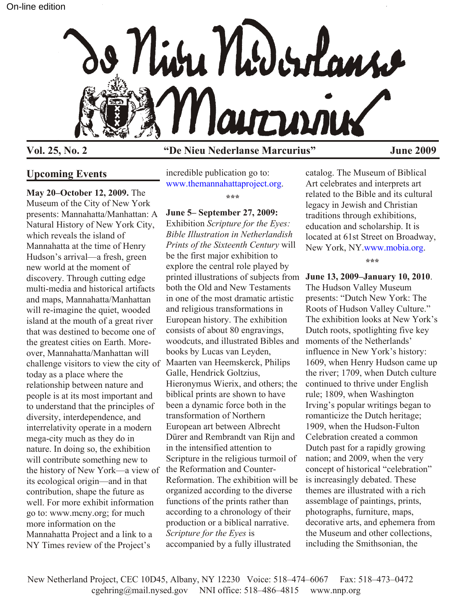

# **Vol. 25, No. 2 "De Nieu Nederlanse Marcurius" June 2009**

# **Upcoming Events**

**May 20–October 12, 2009.** The Museum of the City of New York presents: Mannahatta/Manhattan: A Natural History of New York City, which reveals the island of Mannahatta at the time of Henry Hudson's arrival—a fresh, green new world at the moment of discovery. Through cutting edge multi-media and historical artifacts and maps, Mannahatta/Manhattan will re-imagine the quiet, wooded island at the mouth of a great river that was destined to become one of the greatest cities on Earth. Moreover, Mannahatta/Manhattan will challenge visitors to view the city of Maarten van Heemskerck, Philips today as a place where the relationship between nature and people is at its most important and to understand that the principles of diversity, interdependence, and interrelativity operate in a modern mega-city much as they do in nature. In doing so, the exhibition will contribute something new to the history of New York—a view of its ecological origin—and in that contribution, shape the future as well. For more exhibit information go to: www.mcny.org; for much more information on the Mannahatta Project and a link to a NY Times review of the Project's

incredible publication go to: [www.themannahattaproject.org.](http://www.themannahattaproject.org)

**\*\*\***

### **June 5– September 27, 2009:**

Exhibition *Scripture for the Eyes: Bible Illustration in Netherlandish Prints of the Sixteenth Century* will be the first major exhibition to explore the central role played by printed illustrations of subjects from **June 13, 2009–January 10, 2010**. both the Old and New Testaments in one of the most dramatic artistic and religious transformations in European history. The exhibition consists of about 80 engravings, woodcuts, and illustrated Bibles and books by Lucas van Leyden, Galle, Hendrick Goltzius, Hieronymus Wierix, and others; the biblical prints are shown to have been a dynamic force both in the transformation of Northern European art between Albrecht Dürer and Rembrandt van Rijn and in the intensified attention to Scripture in the religious turmoil of the Reformation and Counter-Reformation. The exhibition will be organized according to the diverse functions of the prints rather than according to a chronology of their production or a biblical narrative. *Scripture for the Eyes* is accompanied by a fully illustrated

catalog. The Museum of Biblical Art celebrates and interprets art related to the Bible and its cultural legacy in Jewish and Christian traditions through exhibitions, education and scholarship. It is located at 61st Street on Broadway, New York, NY.[www.mobia.org](http://www.modbia.org).

**\*\*\***

The Hudson Valley Museum presents: "Dutch New York: The Roots of Hudson Valley Culture." The exhibition looks at New York's Dutch roots, spotlighting five key moments of the Netherlands' influence in New York's history: 1609, when Henry Hudson came up the river; 1709, when Dutch culture continued to thrive under English rule; 1809, when Washington Irving's popular writings began to romanticize the Dutch heritage; 1909, when the Hudson-Fulton Celebration created a common Dutch past for a rapidly growing nation; and 2009, when the very concept of historical "celebration" is increasingly debated. These themes are illustrated with a rich assemblage of paintings, prints, photographs, furniture, maps, decorative arts, and ephemera from the Museum and other collections, including the Smithsonian, the

New Netherland Project, CEC 10D45, Albany, NY 12230 Voice: 518–474–6067 Fax: 518–473–0472 cgehring@mail.nysed.gov NNI office: 518–486–4815 www.nnp.org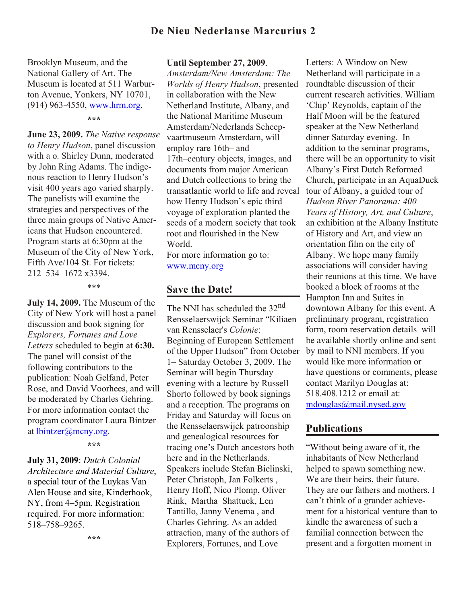## **De Nieu Nederlanse Marcurius 2**

Brooklyn Museum, and the National Gallery of Art. The Museum is located at 511 Warburton Avenue, Yonkers, NY 10701, (914) 963-4550, [www.hrm.org](http://www.hrm.org).

**\*\*\***

**June 23, 2009.** *The Native response to Henry Hudson*, panel discussion with a o. Shirley Dunn, moderated by John Ring Adams. The indigenous reaction to Henry Hudson's visit 400 years ago varied sharply. The panelists will examine the strategies and perspectives of the three main groups of Native Americans that Hudson encountered. Program starts at 6:30pm at the Museum of the City of New York, Fifth Ave/104 St. For tickets: 212–534–1672 x3394.

\*\*\*

**July 14, 2009.** The Museum of the City of New York will host a panel discussion and book signing for *Explorers, Fortunes and Love Letters* scheduled to begin at **6:30.** The panel will consist of the following contributors to the publication: Noah Gelfand, Peter Rose, and David Voorhees, and will be moderated by Charles Gehring. For more information contact the program coordinator Laura Bintzer at [lbintzer@mcny.org](mailto:lbintzer@mcny.org).

**\*\*\***

**July 31, 2009**: *Dutch Colonial Architecture and Material Culture*, a special tour of the Luykas Van Alen House and site, Kinderhook, NY, from 4–5pm. Registration required. For more information: 518–758–9265.

#### **Until September 27, 2009**.

*Amsterdam/New Amsterdam: The Worlds of Henry Hudson*, presented in collaboration with the New Netherland Institute, Albany, and the National Maritime Museum Amsterdam/Nederlands Scheepvaartmuseum Amsterdam, will employ rare 16th– and 17th–century objects, images, and documents from major American and Dutch collections to bring the transatlantic world to life and reveal how Henry Hudson's epic third voyage of exploration planted the seeds of a modern society that took root and flourished in the New World.

For more information go to: [www.mcny.org](http://www.mcny.org)

### **Save the Date!**

The NNI has scheduled the 32nd Rensselaerswijck Seminar "Kiliaen van Rensselaer's *Colonie*: Beginning of European Settlement of the Upper Hudson" from October 1– Saturday October 3, 2009. The Seminar will begin Thursday evening with a lecture by Russell Shorto followed by book signings and a reception. The programs on Friday and Saturday will focus on the Rensselaerswijck patroonship and genealogical resources for tracing one's Dutch ancestors both here and in the Netherlands. Speakers include Stefan Bielinski, Peter Christoph, Jan Folkerts , Henry Hoff, Nico Plomp, Oliver Rink, Martha Shattuck, Len Tantillo, Janny Venema , and Charles Gehring. As an added attraction, many of the authors of Explorers, Fortunes, and Love

Letters: A Window on New Netherland will participate in a roundtable discussion of their current research activities. William 'Chip' Reynolds, captain of the Half Moon will be the featured speaker at the New Netherland dinner Saturday evening. In addition to the seminar programs, there will be an opportunity to visit Albany's First Dutch Reformed Church, participate in an AquaDuck tour of Albany, a guided tour of *Hudson River Panorama: 400 Years of History, Art, and Culture*, an exhibition at the Albany Institute of History and Art, and view an orientation film on the city of Albany. We hope many family associations will consider having their reunions at this time. We have booked a block of rooms at the Hampton Inn and Suites in downtown Albany for this event. A preliminary program, registration form, room reservation details will be available shortly online and sent by mail to NNI members. If you would like more information or have questions or comments, please contact Marilyn Douglas at: 518.408.1212 or email at: mdouglas@mail.nysed.gov

### **Publications**

"Without being aware of it, the inhabitants of New Netherland helped to spawn something new. We are their heirs, their future. They are our fathers and mothers. I can't think of a grander achievement for a historical venture than to kindle the awareness of such a familial connection between the present and a forgotten moment in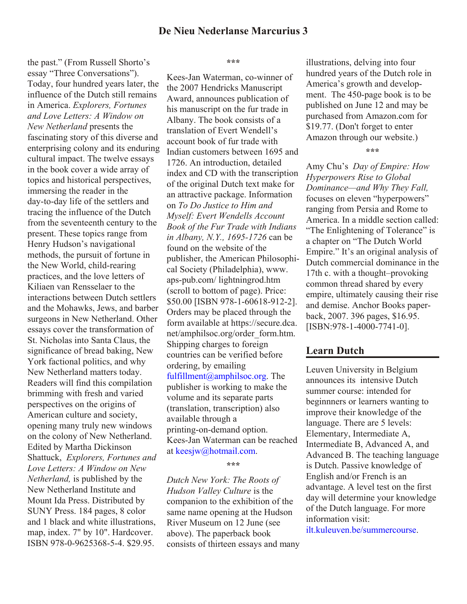the past." (From Russell Shorto's essay "Three Conversations"). Today, four hundred years later, the influence of the Dutch still remains in America. *Explorers, Fortunes and Love Letters: A Window on New Netherland* presents the fascinating story of this diverse and enterprising colony and its enduring cultural impact. The twelve essays in the book cover a wide array of topics and historical perspectives, immersing the reader in the day-to-day life of the settlers and tracing the influence of the Dutch from the seventeenth century to the present. These topics range from Henry Hudson's navigational methods, the pursuit of fortune in the New World, child-rearing practices, and the love letters of Kiliaen van Rensselaer to the interactions between Dutch settlers and the Mohawks, Jews, and barber surgeons in New Netherland. Other essays cover the transformation of St. Nicholas into Santa Claus, the significance of bread baking, New York factional politics, and why New Netherland matters today. Readers will find this compilation brimming with fresh and varied perspectives on the origins of American culture and society, opening many truly new windows on the colony of New Netherland. Edited by Martha Dickinson Shattuck, *Explorers, Fortunes and Love Letters: A Window on New Netherland,* is published by the New Netherland Institute and Mount Ida Press. Distributed by SUNY Press. 184 pages, 8 color and 1 black and white illustrations, map, index. 7" by 10". Hardcover. ISBN 978-0-9625368-5-4. \$29.95.

**\*\*\***

Kees-Jan Waterman, co-winner of the 2007 Hendricks Manuscript Award, announces publication of his manuscript on the fur trade in Albany. The book consists of a translation of Evert Wendell's account book of fur trade with Indian customers between 1695 and 1726. An introduction, detailed index and CD with the transcription of the original Dutch text make for an attractive package. Information on *To Do Justice to Him and Myself: Evert Wendells Account Book of the Fur Trade with Indians in Albany, N.Y., 1695-1726* can be found on the website of the publisher, the American Philosophical Society (Philadelphia), www. aps-pub.com/ lightningrod.htm (scroll to bottom of page). Price: \$50.00 [ISBN 978-1-60618-912-2]. Orders may be placed through the [form available at https://secure.dca.](https://secure.dca.net/amphilsoc.org/order_form.htm) net/amphilsoc.org/order\_form.htm. Shipping charges to foreign countries can be verified before ordering, by emailing [fulfillment@amphilsoc.org](mailto:fulfillment@amphilsoc.org). The publisher is working to make the volume and its separate parts (translation, transcription) also available through a printing-on-demand option. Kees-Jan Waterman can be reached a[t keesjw@hotmail.com.](mailto:keesjw@hotmail.com)

**\*\*\***

*Dutch New York: The Roots of Hudson Valley Culture* is the companion to the exhibition of the same name opening at the Hudson River Museum on 12 June (see above). The paperback book consists of thirteen essays and many illustrations, delving into four hundred years of the Dutch role in America's growth and development. The 450-page book is to be published on June 12 and may be purchased from Amazon.com for \$19.77. (Don't forget to enter Amazon through our website.)

**\*\*\***

Amy Chu's *Day of Empire: How Hyperpowers Rise to Global Dominance—and Why They Fall,* focuses on eleven "hyperpowers" ranging from Persia and Rome to America. In a middle section called: "The Enlightening of Tolerance" is a chapter on "The Dutch World Empire." It's an original analysis of Dutch commercial dominance in the 17th c. with a thought–provoking common thread shared by every empire, ultimately causing their rise and demise. Anchor Books paperback, 2007. 396 pages, \$16.95. [ISBN:978-1-4000-7741-0].

#### **Learn Dutch**

Leuven University in Belgium announces its intensive Dutch summer course: intended for beginnners or learners wanting to improve their knowledge of the language. There are 5 levels: Elementary, Intermediate A, Intermediate B, Advanced A, and Advanced B. The teaching language is Dutch. Passive knowledge of English and/or French is an advantage. A level test on the first day will determine your knowledge of the Dutch language. For more information visit:

[ilt.kuleuven.be/summercourse](http://ilt.kuleuven.be/summercourse).